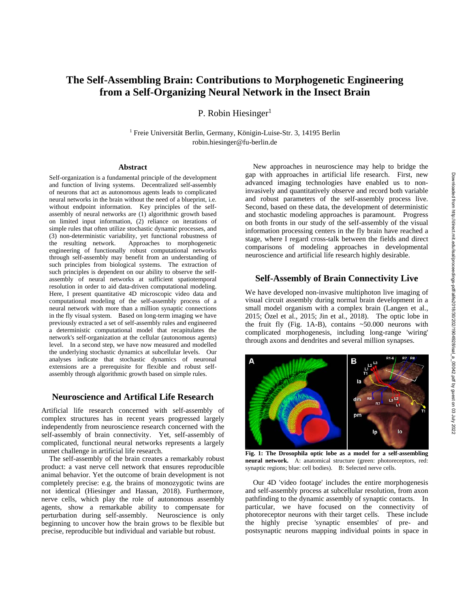# **The Self-Assembling Brain: Contributions to Morphogenetic Engineering from a Self-Organizing Neural Network in the Insect Brain**

P. Robin Hiesinger $<sup>1</sup>$ </sup>

<sup>1</sup> Freie Universität Berlin, Germany, Königin-Luise-Str. 3, 14195 Berlin robin.hiesinger@fu-berlin.de

#### **Abstract**

Self-organization is a fundamental principle of the development and function of living systems. Decentralized self-assembly of neurons that act as autonomous agents leads to complicated neural networks in the brain without the need of a blueprint, i.e. without endpoint information. Key principles of the selfassembly of neural networks are (1) algorithmic growth based on limited input information, (2) reliance on iterations of simple rules that often utilize stochastic dynamic processes, and (3) non-deterministic variability, yet functional robustness of the resulting network. Approaches to morphogenetic engineering of functionally robust computational networks through self-assembly may benefit from an understanding of such principles from biological systems. The extraction of such principles is dependent on our ability to observe the selfassembly of neural networks at sufficient spatiotemporal resolution in order to aid data-driven computational modeling. Here, I present quantitative 4D microscopic video data and computational modeling of the self-assembly process of a neural network with more than a million synaptic connections in the fly visual system. Based on long-term imaging we have previously extracted a set of self-assembly rules and engineered a deterministic computational model that recapitulates the network's self-organization at the cellular (autonomous agents) level. In a second step, we have now measured and modelled the underlying stochastic dynamics at subcellular levels. Our analyses indicate that stochastic dynamics of neuronal extensions are a prerequisite for flexible and robust selfassembly through algorithmic growth based on simple rules.

### **Neuroscience and Artifical Life Research**

Artificial life research concerned with self-assembly of complex structures has in recent years progressed largely independently from neuroscience research concerned with the self-assembly of brain connectivity. Yet, self-assembly of complicated, functional neural networks represents a largely unmet challenge in artificial life research.

The self-assembly of the brain creates a remarkably robust product: a vast nerve cell network that ensures reproducible animal behavior. Yet the outcome of brain development is not completely precise: e.g. the brains of monozygotic twins are not identical (Hiesinger and Hassan, 2018). Furthermore, nerve cells, which play the role of autonomous assembly agents, show a remarkable ability to compensate for perturbation during self-assembly. Neuroscience is only beginning to uncover how the brain grows to be flexible but precise, reproducible but individual and variable but robust.

New approaches in neuroscience may help to bridge the gap with approaches in artificial life research. First, new advanced imaging technologies have enabled us to noninvasively and quantitatively observe and record both variable and robust parameters of the self-assembly process live. Second, based on these data, the development of deterministic and stochastic modeling approaches is paramount. Progress on both fronts in our study of the self-assembly of the visual information processing centers in the fly brain have reached a stage, where I regard cross-talk between the fields and direct comparisons of modeling approaches in developmental neuroscience and artificial life research highly desirable.

#### **Self-Assembly of Brain Connectivity Live**

We have developed non-invasive multiphoton live imaging of visual circuit assembly during normal brain development in a small model organism with a complex brain (Langen et al., 2015; Özel et al., 2015; Jin et al., 2018). The optic lobe in the fruit fly (Fig. 1A-B), contains ~50.000 neurons with complicated morphogenesis, including long-range 'wiring' through axons and dendrites and several million synapses.



**Fig. 1: The Drosophila optic lobe as a model for a self-assembling neural network.** A: anatomical structure (green: photoreceptors, red: synaptic regions; blue: cell bodies). B: Selected nerve cells.

Our 4D 'video footage' includes the entire morphogenesis and self-assembly process at subcellular resolution, from axon pathfinding to the dynamic assembly of synaptic contacts. In particular, we have focused on the connectivity of photoreceptor neurons with their target cells. These include the highly precise 'synaptic ensembles' of pre- and postsynaptic neurons mapping individual points in space in